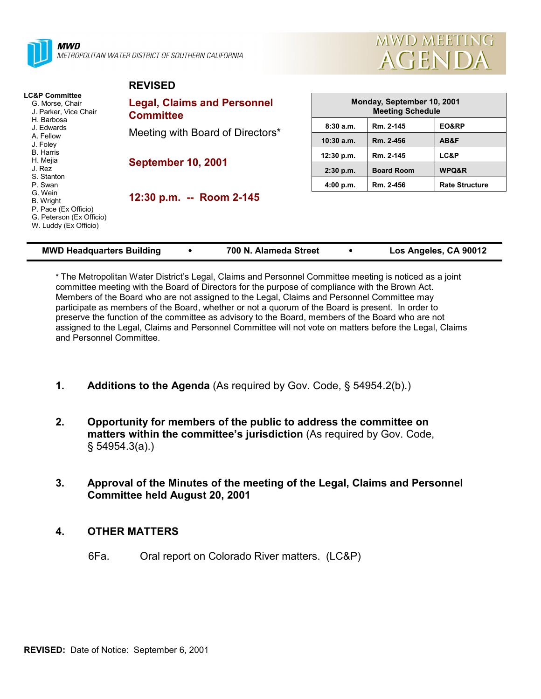

MWD METROPOLITAN WATER DISTRICT OF SOUTHERN CALIFORNIA

**REVISED**



|                                                                                                                                                            | . <i>.</i>                                             |              |                                                       |                       |  |
|------------------------------------------------------------------------------------------------------------------------------------------------------------|--------------------------------------------------------|--------------|-------------------------------------------------------|-----------------------|--|
| <b>LC&amp;P Committee</b><br>G. Morse, Chair<br>J. Parker, Vice Chair<br>H. Barbosa<br>J. Edwards<br>A. Fellow<br>J. Foley<br><b>B.</b> Harris<br>H. Mejia | <b>Legal, Claims and Personnel</b><br><b>Committee</b> |              | Monday, September 10, 2001<br><b>Meeting Schedule</b> |                       |  |
|                                                                                                                                                            | Meeting with Board of Directors*                       | 8:30a.m.     | Rm. 2-145                                             | EO&RP                 |  |
|                                                                                                                                                            |                                                        | $10:30$ a.m. | Rm. 2-456                                             | AB&F                  |  |
|                                                                                                                                                            | <b>September 10, 2001</b>                              | 12:30 p.m.   | Rm. 2-145                                             | LC&P                  |  |
| J. Rez<br>S. Stanton                                                                                                                                       |                                                        | $2:30$ p.m.  | <b>Board Room</b>                                     | WPQ&R                 |  |
| P. Swan                                                                                                                                                    |                                                        | 4:00 p.m.    | Rm. 2-456                                             | <b>Rate Structure</b> |  |
| G. Wein<br>B. Wright<br>P. Pace (Ex Officio)<br>G. Peterson (Ex Officio)<br>W. Luddy (Ex Officio)                                                          | 12:30 p.m. -- Room 2-145                               |              |                                                       |                       |  |

| <b>MWD Headquarters Building</b> |  | 700 N. Alameda Street |  | Los Angeles, CA 90012 |
|----------------------------------|--|-----------------------|--|-----------------------|
|----------------------------------|--|-----------------------|--|-----------------------|

\* The Metropolitan Water Districtís Legal, Claims and Personnel Committee meeting is noticed as a joint committee meeting with the Board of Directors for the purpose of compliance with the Brown Act. Members of the Board who are not assigned to the Legal, Claims and Personnel Committee may participate as members of the Board, whether or not a quorum of the Board is present. In order to preserve the function of the committee as advisory to the Board, members of the Board who are not assigned to the Legal, Claims and Personnel Committee will not vote on matters before the Legal, Claims and Personnel Committee.

- **1.** Additions to the Agenda (As required by Gov. Code, § 54954.2(b).)
- **2. Opportunity for members of the public to address the committee on matters within the committee's jurisdiction** (As required by Gov. Code, ß 54954.3(a).)
- **3. Approval of the Minutes of the meeting of the Legal, Claims and Personnel Committee held August 20, 2001**

# **4. OTHER MATTERS**

6Fa. Oral report on Colorado River matters. (LC&P)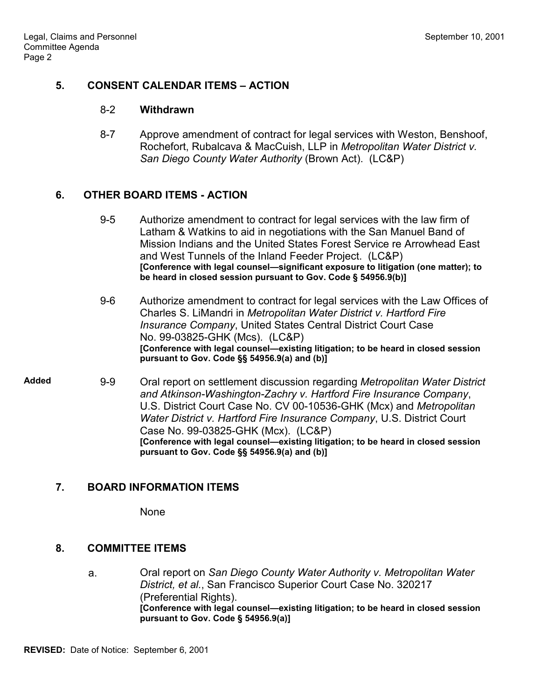#### **5. CONSENT CALENDAR ITEMS – ACTION**

#### 8-2 **Withdrawn**

8-7 Approve amendment of contract for legal services with Weston, Benshoof, Rochefort, Rubalcava & MacCuish, LLP in *Metropolitan Water District v. San Diego County Water Authority* (Brown Act). (LC&P)

#### **6. OTHER BOARD ITEMS - ACTION**

- 9-5 Authorize amendment to contract for legal services with the law firm of Latham & Watkins to aid in negotiations with the San Manuel Band of Mission Indians and the United States Forest Service re Arrowhead East and West Tunnels of the Inland Feeder Project. (LC&P) [Conference with legal counsel-significant exposure to litigation (one matter); to **be heard in closed session pursuant to Gov. Code ß 54956.9(b)]**
- 9-6 Authorize amendment to contract for legal services with the Law Offices of Charles S. LiMandri in *Metropolitan Water District v. Hartford Fire Insurance Company*, United States Central District Court Case No. 99-03825-GHK (Mcs). (LC&P) **[Conference with legal counsel—existing litigation; to be heard in closed session pursuant to Gov. Code ßß 54956.9(a) and (b)]**

**Added** 9-9 Oral report on settlement discussion regarding *Metropolitan Water District and Atkinson-Washington-Zachry v. Hartford Fire Insurance Company*, U.S. District Court Case No. CV 00-10536-GHK (Mcx) and *Metropolitan Water District v. Hartford Fire Insurance Company*, U.S. District Court Case No. 99-03825-GHK (Mcx). (LC&P) [Conference with legal counsel-existing litigation; to be heard in closed session **pursuant to Gov. Code ßß 54956.9(a) and (b)]**

# **7. BOARD INFORMATION ITEMS**

None

#### **8. COMMITTEE ITEMS**

a. Oral report on *San Diego County Water Authority v. Metropolitan Water District, et al.*, San Francisco Superior Court Case No. 320217 (Preferential Rights). **[Conference with legal counsel—existing litigation; to be heard in closed session pursuant to Gov. Code ß 54956.9(a)]**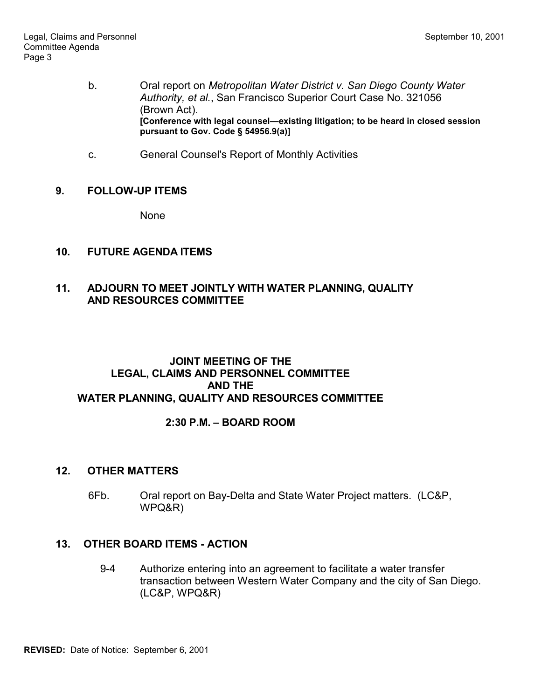- b. Oral report on *Metropolitan Water District v. San Diego County Water Authority, et al.*, San Francisco Superior Court Case No. 321056 (Brown Act). [Conference with legal counsel-existing litigation; to be heard in closed session **pursuant to Gov. Code ß 54956.9(a)]**
- c. General Counsel's Report of Monthly Activities

# **9. FOLLOW-UP ITEMS**

None

# **10. FUTURE AGENDA ITEMS**

# **11. ADJOURN TO MEET JOINTLY WITH WATER PLANNING, QUALITY AND RESOURCES COMMITTEE**

#### **JOINT MEETING OF THE LEGAL, CLAIMS AND PERSONNEL COMMITTEE AND THE WATER PLANNING, QUALITY AND RESOURCES COMMITTEE**

# **2:30 P.M. - BOARD ROOM**

# **12. OTHER MATTERS**

6Fb. Oral report on Bay-Delta and State Water Project matters. (LC&P, WPQ&R)

#### **13. OTHER BOARD ITEMS - ACTION**

9-4 Authorize entering into an agreement to facilitate a water transfer transaction between Western Water Company and the city of San Diego. (LC&P, WPQ&R)